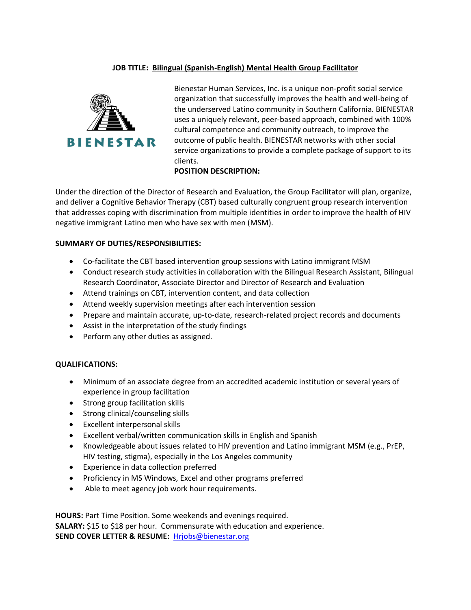## **JOB TITLE: Bilingual (Spanish-English) Mental Health Group Facilitator**



Bienestar Human Services, Inc. is a unique non-profit social service organization that successfully improves the health and well-being of the underserved Latino community in Southern California. BIENESTAR uses a uniquely relevant, peer-based approach, combined with 100% cultural competence and community outreach, to improve the outcome of public health. BIENESTAR networks with other social service organizations to provide a complete package of support to its clients.

## **POSITION DESCRIPTION:**

Under the direction of the Director of Research and Evaluation, the Group Facilitator will plan, organize, and deliver a Cognitive Behavior Therapy (CBT) based culturally congruent group research intervention that addresses coping with discrimination from multiple identities in order to improve the health of HIV negative immigrant Latino men who have sex with men (MSM).

## **SUMMARY OF DUTIES/RESPONSIBILITIES:**

- Co-facilitate the CBT based intervention group sessions with Latino immigrant MSM
- Conduct research study activities in collaboration with the Bilingual Research Assistant, Bilingual Research Coordinator, Associate Director and Director of Research and Evaluation
- Attend trainings on CBT, intervention content, and data collection
- Attend weekly supervision meetings after each intervention session
- Prepare and maintain accurate, up-to-date, research-related project records and documents
- Assist in the interpretation of the study findings
- Perform any other duties as assigned.

## **QUALIFICATIONS:**

- Minimum of an associate degree from an accredited academic institution or several years of experience in group facilitation
- Strong group facilitation skills
- Strong clinical/counseling skills
- Excellent interpersonal skills
- Excellent verbal/written communication skills in English and Spanish
- Knowledgeable about issues related to HIV prevention and Latino immigrant MSM (e.g., PrEP, HIV testing, stigma), especially in the Los Angeles community
- Experience in data collection preferred
- Proficiency in MS Windows, Excel and other programs preferred
- Able to meet agency job work hour requirements.

**HOURS:** Part Time Position. Some weekends and evenings required. **SALARY:** \$15 to \$18 per hour. Commensurate with education and experience. **SEND COVER LETTER & RESUME:** [Hrjobs@bienestar.org](mailto:Hrjobs@bienestar.org)